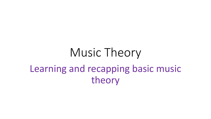## Music Theory Learning and recapping basic music theory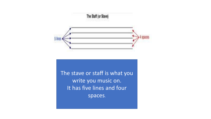

The stave or staff is what you write you music on. It has five lines and four spaces.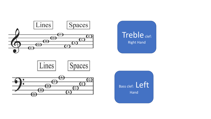







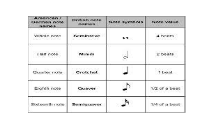| American /<br>German note<br>names | British note<br>names       | Note symbols | Note value           |
|------------------------------------|-----------------------------|--------------|----------------------|
| Whole note                         | Semibreve<br>10000000000000 | $\bullet$    | 4 beats              |
| Half note<br>la total tra          | Minim                       | a            | 2 beats              |
| Quarter note                       | Crotchet                    |              | 전화이라 이 이 이<br>1 beat |
| Eighth note                        | Quaver                      |              | 1/2 of a beat        |
| Sixteenth note                     | Semiquaver                  |              | 1/4 of a beat        |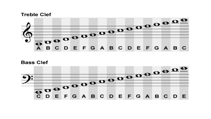

## **Bass Clef**

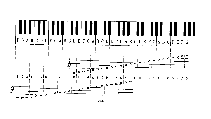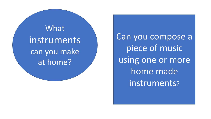

Can you compose a piece of music using one or more home made instruments ?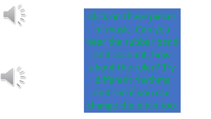

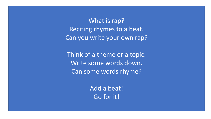What is rap? Reciting rhymes to a beat. Can you write your own rap?

Think of a theme or a topic. Write some words down. Can some words rhyme?

> Add a beat! Go for it!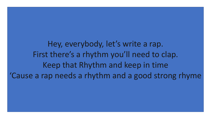Hey, everybody, let's write a rap. First there's a rhythm you'll need to clap. Keep that Rhythm and keep in time 'Cause a rap needs a rhythm and a good strong rhyme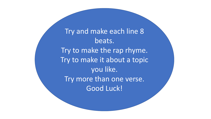Try and make each line 8 beats. Try to make the rap rhyme. Try to make it about a topic you like. Try more than one verse. Good Luck!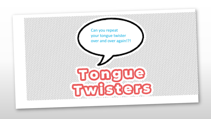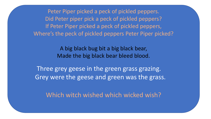Peter Piper picked a peck of pickled peppers. Did Peter piper pick a peck of pickled peppers? If Peter Piper picked a peck of pickled peppers, Where's the peck of pickled peppers Peter Piper picked?

> A big black bug bit a big black bear, Made the big black bear bleed blood.

Three grey geese in the green grass grazing. Grey were the geese and green was the grass.

Which witch wished which wicked wish?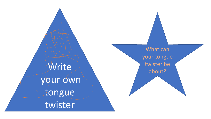Write your own tongue twister

What can your tongue twister be about?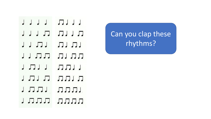

Can you clap these rhythms?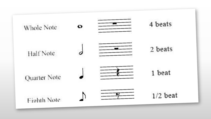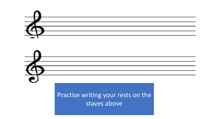



Practise writing your rests on the staves above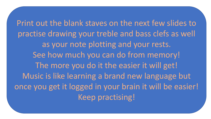Print out the blank staves on the next few slides to practise drawing your treble and bass clefs as well as your note plotting and your rests. See how much you can do from memory! The more you do it the easier it will get! Music is like learning a brand new language but once you get it logged in your brain it will be easier! Keep practising!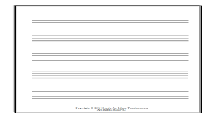| the control of the control of the | ,我们也不会有什么?""我们的人,我们也不会有什么?""我们的人,我们也不会有什么?""我们的人,我们也不会有什么?""我们的人,我们也不会有什么?""我们的人 |
|-----------------------------------|----------------------------------------------------------------------------------|
|                                   |                                                                                  |
|                                   | ,我们也不会有什么?""我们的人,我们也不会有什么?""我们的人,我们也不会有什么?""我们的人,我们也不会有什么?""我们的人,我们也不会有什么?""我们的人 |
|                                   |                                                                                  |
|                                   |                                                                                  |
|                                   | ,我们也不会有什么?""我们的人,我们也不会有什么?""我们的人,我们也不会有什么?""我们的人,我们也不会有什么?""我们的人,我们也不会有什么?""我们的人 |
|                                   |                                                                                  |
|                                   |                                                                                  |
|                                   |                                                                                  |
|                                   |                                                                                  |
|                                   |                                                                                  |
|                                   |                                                                                  |
|                                   |                                                                                  |
|                                   |                                                                                  |
|                                   |                                                                                  |
|                                   |                                                                                  |
|                                   |                                                                                  |
|                                   |                                                                                  |
|                                   |                                                                                  |
|                                   |                                                                                  |
|                                   |                                                                                  |
|                                   |                                                                                  |
|                                   |                                                                                  |
|                                   |                                                                                  |
|                                   |                                                                                  |
|                                   |                                                                                  |
|                                   |                                                                                  |
|                                   | ,我们也不会有什么?""我们的人,我们也不会有什么?""我们的人,我们也不会有什么?""我们的人,我们也不会有什么?""我们的人,我们也不会有什么?""我们的人 |
|                                   |                                                                                  |
|                                   |                                                                                  |
|                                   |                                                                                  |
|                                   | ,我们也不能会在这里,我们也不能会在这里,我们也不能会在这里,我们也不能会不能会不能会不能会不能会不能会不能会。""我们,我们也不能会不能会不能会不能会不能会不 |
|                                   |                                                                                  |
|                                   |                                                                                  |
|                                   |                                                                                  |
|                                   |                                                                                  |
|                                   |                                                                                  |
|                                   |                                                                                  |
|                                   |                                                                                  |
|                                   |                                                                                  |
|                                   |                                                                                  |
|                                   |                                                                                  |
|                                   |                                                                                  |
|                                   |                                                                                  |
|                                   |                                                                                  |
|                                   |                                                                                  |
|                                   |                                                                                  |
|                                   |                                                                                  |
|                                   |                                                                                  |
|                                   |                                                                                  |
|                                   |                                                                                  |
|                                   |                                                                                  |
|                                   |                                                                                  |
|                                   |                                                                                  |
|                                   | Cogeright # 2004 Masic Air Missic Teachers.com                                   |
|                                   |                                                                                  |
|                                   |                                                                                  |
|                                   |                                                                                  |
|                                   |                                                                                  |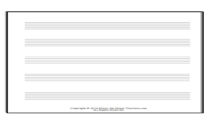| ,我们也不会有什么。""我们的人,我们也不会有什么?""我们的人,我们也不会有什么?""我们的人,我们也不会有什么?""我们的人,我们也不会有什么?""我们的人 |
|----------------------------------------------------------------------------------|
|                                                                                  |
|                                                                                  |
| ,我们也不会有什么?""我们的人,我们也不会有什么?""我们的人,我们也不会有什么?""我们的人,我们也不会有什么?""我们的人,我们也不会有什么?""我们的人 |
|                                                                                  |
|                                                                                  |
|                                                                                  |
|                                                                                  |
|                                                                                  |
|                                                                                  |
|                                                                                  |
|                                                                                  |
|                                                                                  |
|                                                                                  |
|                                                                                  |
|                                                                                  |
|                                                                                  |
|                                                                                  |
|                                                                                  |
|                                                                                  |
|                                                                                  |
|                                                                                  |
|                                                                                  |
|                                                                                  |
|                                                                                  |
|                                                                                  |
|                                                                                  |
|                                                                                  |
| ,我们也不能会在这里,我们也不能会在这里,我们也不能会在这里,我们也不能会不能会不能会不能会不能会不能会不能会不能会。""我们,我们也不能会不能会不能会不能会不 |
|                                                                                  |
|                                                                                  |
|                                                                                  |
|                                                                                  |
|                                                                                  |
|                                                                                  |
|                                                                                  |
|                                                                                  |
|                                                                                  |
|                                                                                  |
|                                                                                  |
|                                                                                  |
|                                                                                  |
|                                                                                  |
|                                                                                  |
|                                                                                  |
|                                                                                  |
|                                                                                  |
|                                                                                  |
|                                                                                  |
|                                                                                  |
|                                                                                  |
|                                                                                  |
|                                                                                  |
|                                                                                  |
| Cognition # 2004 Mario Air Missio Teachers com-                                  |
|                                                                                  |
|                                                                                  |
|                                                                                  |
|                                                                                  |